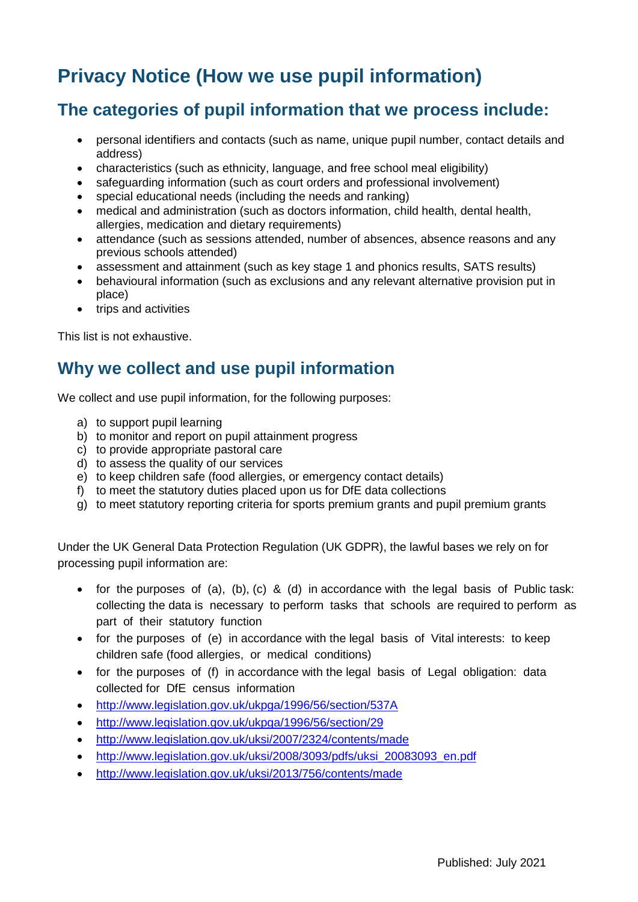# **Privacy Notice (How we use pupil information)**

## **The categories of pupil information that we process include:**

- personal identifiers and contacts (such as name, unique pupil number, contact details and address)
- characteristics (such as ethnicity, language, and free school meal eligibility)
- safeguarding information (such as court orders and professional involvement)
- special educational needs (including the needs and ranking)
- medical and administration (such as doctors information, child health, dental health, allergies, medication and dietary requirements)
- attendance (such as sessions attended, number of absences, absence reasons and any previous schools attended)
- assessment and attainment (such as key stage 1 and phonics results, SATS results)
- behavioural information (such as exclusions and any relevant alternative provision put in place)
- trips and activities

This list is not exhaustive.

### **Why we collect and use pupil information**

We collect and use pupil information, for the following purposes:

- a) to support pupil learning
- b) to monitor and report on pupil attainment progress
- c) to provide appropriate pastoral care
- d) to assess the quality of our services
- e) to keep children safe (food allergies, or emergency contact details)
- f) to meet the statutory duties placed upon us for DfE data collections
- g) to meet statutory reporting criteria for sports premium grants and pupil premium grants

Under the UK General Data Protection Regulation (UK GDPR), the lawful bases we rely on for processing pupil information are:

- for the purposes of (a), (b), (c) & (d) in accordance with the legal basis of Public task: collecting the data is necessary to perform tasks that schools are required to perform as part of their statutory function
- for the purposes of (e) in accordance with the legal basis of Vital interests: to keep children safe (food allergies, or medical conditions)
- for the purposes of (f) in accordance with the legal basis of Legal obligation: data collected for DfE census information
- <http://www.legislation.gov.uk/ukpga/1996/56/section/537A>
- <http://www.legislation.gov.uk/ukpga/1996/56/section/29>
- <http://www.legislation.gov.uk/uksi/2007/2324/contents/made>
- [http://www.legislation.gov.uk/uksi/2008/3093/pdfs/uksi\\_20083093\\_en.pdf](http://www.legislation.gov.uk/uksi/2008/3093/pdfs/uksi_20083093_en.pdf)
- <http://www.legislation.gov.uk/uksi/2013/756/contents/made>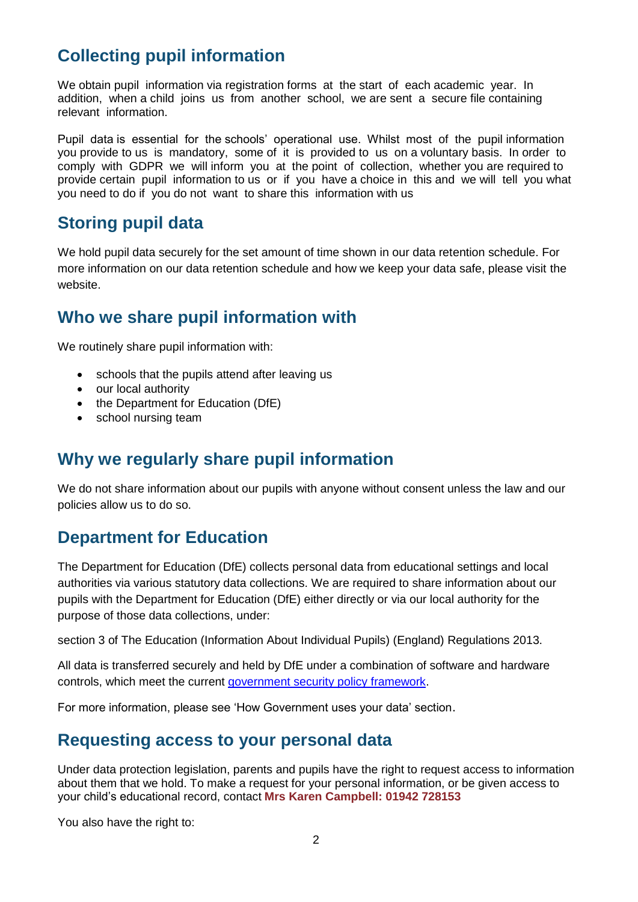# **Collecting pupil information**

We obtain pupil information via registration forms at the start of each academic year. In addition, when a child joins us from another school, we are sent a secure file containing relevant information.

Pupil data is essential for the schools' operational use. Whilst most of the pupil information you provide to us is mandatory, some of it is provided to us on a voluntary basis. In order to comply with GDPR we will inform you at the point of collection, whether you are required to provide certain pupil information to us or if you have a choice in this and we will tell you what you need to do if you do not want to share this information with us

## **Storing pupil data**

We hold pupil data securely for the set amount of time shown in our data retention schedule. For more information on our data retention schedule and how we keep your data safe, please visit the website.

## **Who we share pupil information with**

We routinely share pupil information with:

- schools that the pupils attend after leaving us
- our local authority
- the Department for Education (DfE)
- school nursing team

# **Why we regularly share pupil information**

We do not share information about our pupils with anyone without consent unless the law and our policies allow us to do so.

# **Department for Education**

The Department for Education (DfE) collects personal data from educational settings and local authorities via various statutory data collections. We are required to share information about our pupils with the Department for Education (DfE) either directly or via our local authority for the purpose of those data collections, under:

section 3 of The Education (Information About Individual Pupils) (England) Regulations 2013.

All data is transferred securely and held by DfE under a combination of software and hardware controls, which meet the current [government security policy framework.](https://www.gov.uk/government/publications/security-policy-framework)

For more information, please see 'How Government uses your data' section.

### **Requesting access to your personal data**

Under data protection legislation, parents and pupils have the right to request access to information about them that we hold. To make a request for your personal information, or be given access to your child's educational record, contact **Mrs Karen Campbell: 01942 728153**

You also have the right to: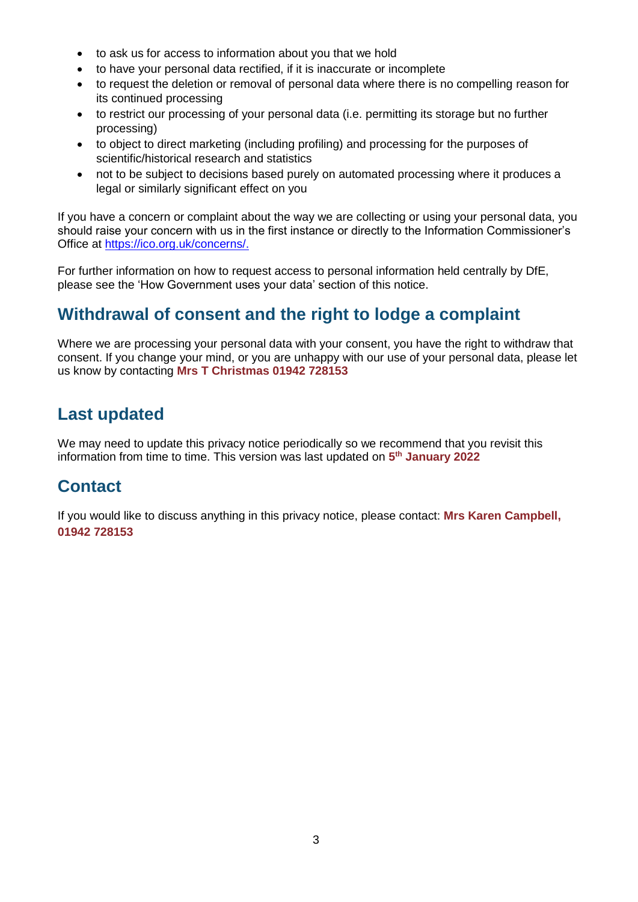- to ask us for access to information about you that we hold
- to have your personal data rectified, if it is inaccurate or incomplete
- to request the deletion or removal of personal data where there is no compelling reason for its continued processing
- to restrict our processing of your personal data (i.e. permitting its storage but no further processing)
- to object to direct marketing (including profiling) and processing for the purposes of scientific/historical research and statistics
- not to be subject to decisions based purely on automated processing where it produces a legal or similarly significant effect on you

If you have a concern or complaint about the way we are collecting or using your personal data, you should raise your concern with us in the first instance or directly to the Information Commissioner's Office at [https://ico.org.uk/concerns/.](https://ico.org.uk/concerns/)

For further information on how to request access to personal information held centrally by DfE, please see the 'How Government uses your data' section of this notice.

# **Withdrawal of consent and the right to lodge a complaint**

Where we are processing your personal data with your consent, you have the right to withdraw that consent. If you change your mind, or you are unhappy with our use of your personal data, please let us know by contacting **Mrs T Christmas 01942 728153**

# **Last updated**

We may need to update this privacy notice periodically so we recommend that you revisit this information from time to time. This version was last updated on **5 th January 2022**

# **Contact**

If you would like to discuss anything in this privacy notice, please contact: **Mrs Karen Campbell, 01942 728153**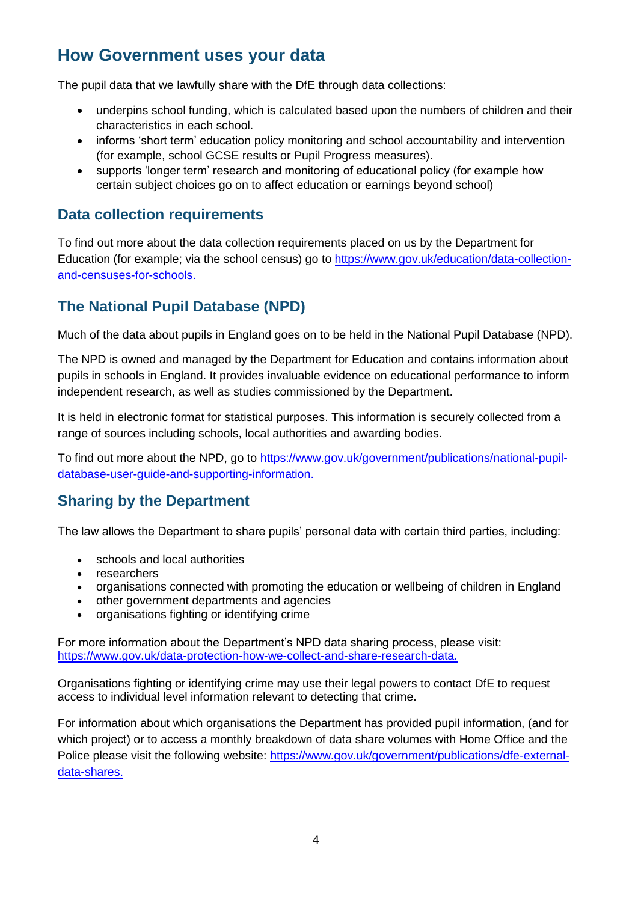# **How Government uses your data**

The pupil data that we lawfully share with the DfE through data collections:

- underpins school funding, which is calculated based upon the numbers of children and their characteristics in each school.
- informs 'short term' education policy monitoring and school accountability and intervention (for example, school GCSE results or Pupil Progress measures).
- supports 'longer term' research and monitoring of educational policy (for example how certain subject choices go on to affect education or earnings beyond school)

#### **Data collection requirements**

To find out more about the data collection requirements placed on us by the Department for Education (for example; via the school census) go to [https://www.gov.uk/education/data-collection](https://www.gov.uk/education/data-collection-and-censuses-for-schools)[and-censuses-for-schools.](https://www.gov.uk/education/data-collection-and-censuses-for-schools)

### **The National Pupil Database (NPD)**

Much of the data about pupils in England goes on to be held in the National Pupil Database (NPD).

The NPD is owned and managed by the Department for Education and contains information about pupils in schools in England. It provides invaluable evidence on educational performance to inform independent research, as well as studies commissioned by the Department.

It is held in electronic format for statistical purposes. This information is securely collected from a range of sources including schools, local authorities and awarding bodies.

To find out more about the NPD, go to [https://www.gov.uk/government/publications/national-pupil](https://www.gov.uk/government/publications/national-pupil-database-user-guide-and-supporting-information)[database-user-guide-and-supporting-information.](https://www.gov.uk/government/publications/national-pupil-database-user-guide-and-supporting-information)

### **Sharing by the Department**

The law allows the Department to share pupils' personal data with certain third parties, including:

- schools and local authorities
- researchers
- organisations connected with promoting the education or wellbeing of children in England
- other government departments and agencies
- organisations fighting or identifying crime

For more information about the Department's NPD data sharing process, please visit: [https://www.gov.uk/data-protection-how-we-collect-and-share-research-data.](https://www.gov.uk/data-protection-how-we-collect-and-share-research-data)

Organisations fighting or identifying crime may use their legal powers to contact DfE to request access to individual level information relevant to detecting that crime.

For information about which organisations the Department has provided pupil information, (and for which project) or to access a monthly breakdown of data share volumes with Home Office and the Police please visit the following website: [https://www.gov.uk/government/publications/dfe-external](https://www.gov.uk/government/publications/dfe-external-data-shares)[data-shares.](https://www.gov.uk/government/publications/dfe-external-data-shares)